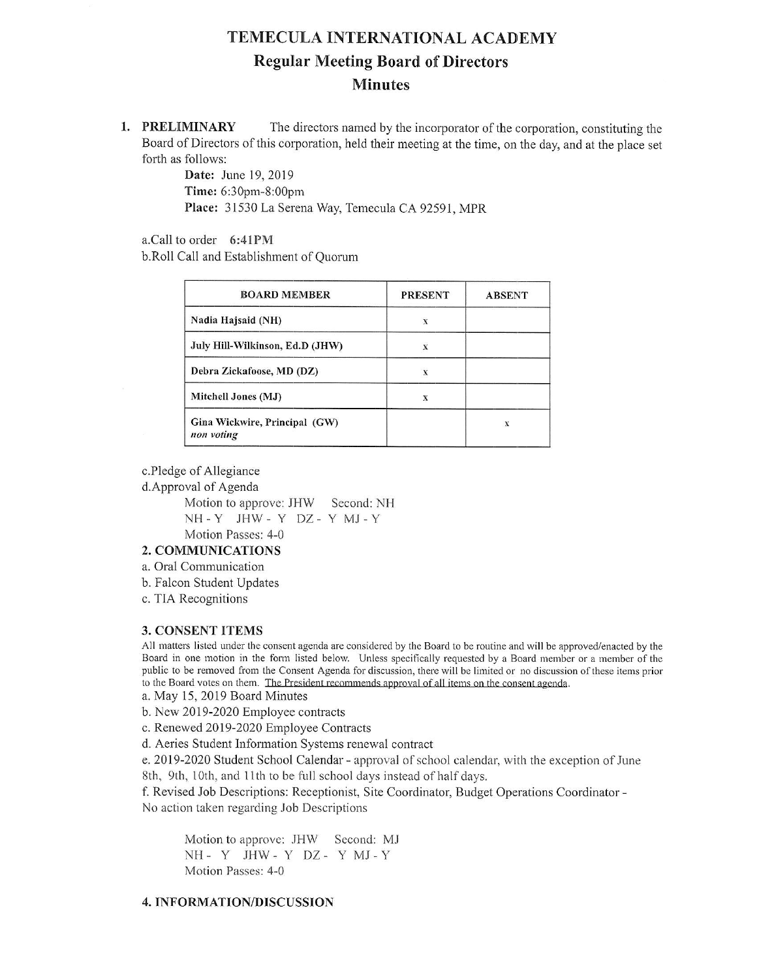# TEMECULA INTERNATIONAL ACADEMY Regular Meeting Board of Directors Minutes

1. **PRELIMINARY** The directors named by the incorporator of the corporation, constituting the Board of Directors of this corporation, held their meeting at the time, on the day, and at the place set forth as follows:

> Date: June 19,2019 Time: 6:30pm-8:00pm Place: 3 1530 La Serena Way, Temecula CA 92591, MPR

a.Call to order 6:4IPM

b.Roll Call and Establishment of Quorum

| <b>BOARD MEMBER</b>                         | <b>PRESENT</b> | <b>ABSENT</b> |
|---------------------------------------------|----------------|---------------|
| Nadia Hajsaid (NH)                          | X              |               |
| July Hill-Wilkinson, Ed.D (JHW)             | X              |               |
| Debra Zickafoose, MD (DZ)                   |                |               |
| Mitchell Jones (MJ)                         | х              |               |
| Gina Wickwire, Principal (GW)<br>non voting |                | x             |

c.Pledge of Allegiance

d.Approval of Agenda

Motion to approve: JHW Second: NH NH-Y JHW- Y DZ- Y MJ.Y Motion Passes: 4-0

### 2. COMMUNICATIONS

a. Oral Communication

b. Falcon Student Updates

c. TIA Recognitions

# 3. CONSENT ITEMS

All matters listed under the consent agenda are considered by the Board to be routine and will be approved/enacted by the Board in one motion in the form listed below. Unless specifically requested by a Board member or a member of the public to be removed from the Consent Agenda for discussion, there will be limited or no discussion of these items prior to the Board votes on them. The President recommends approval of all items on the consent agenda.

a. May 15,2019 Board Minutes

b. New 2019-2020 Employee contracts

c. Renewed 2019-2020 Employee Contracts

d. Aeries Student Infomation Systems renewal contract

e. 2019-2020 Student School Calendar - approval of school calendar, with the exception of June 8th, 9th, 10th, and 11th to be full school days instead of half days.

f. Revised Job Descriptions: Receptionist, Site Coordinator, Budget Operations Coordinator -No action taken regarding Job Descriptions

Motion to approve: JHW Second: MJ NH- Y JHW- Y DZ- Y MJ-Y Motion Passes: 4-0

# 4. INFORMATION/DISCUSSION